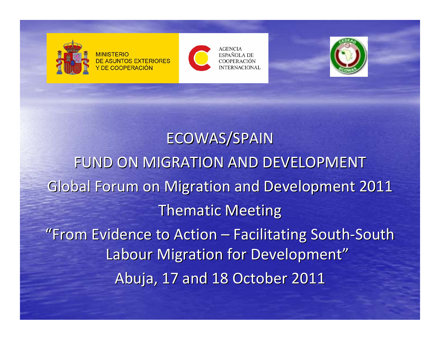

DE ASUNTOS EXTERIORES Y DE COOPERACIÓN



**AGENCIA ESPAÑOLA DE** COOPER ACIÓN **NTERNACIONAL** 



ECOWAS/SPAIN FUND ON MIGRATION AND DEVELOPMENT Global Forum on Migration and Development 2011 Thematic Meeting "From Evidence to Action – Facilitating South-South Labour Migration for Development" Abuja, 17 and 18 October 2011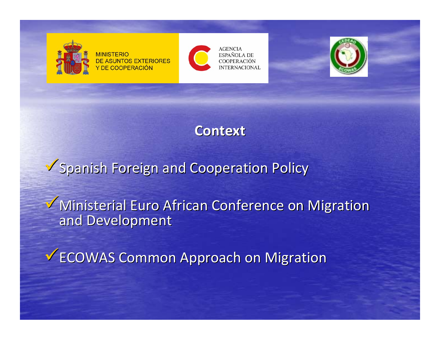

**MINISTERIO DE ASUNTOS EXTERIORES** Y DE COOPERACIÓN



**AGENCIA** ESPAÑOLA DE **COOPERACIÓN INTERNACIONAL** 



**Context Context**

Spanish Foreign and Cooperation Policy

Ministerial Euro African Conference on Migration and Development

V ECOWAS Common Approach on Migration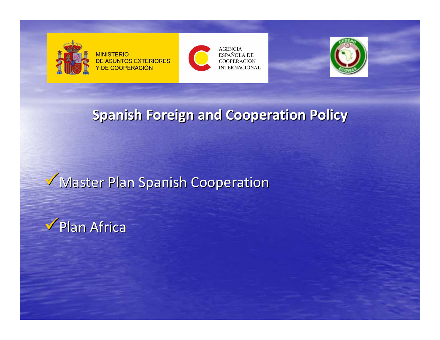

**MINISTERIO DE ASUNTOS EXTERIORES** Y DE COOPERACIÓN





#### **Spanish Spanish Foreign Foreign and Cooperation Cooperation Policy**

### **Master Plan Spanish Cooperation**

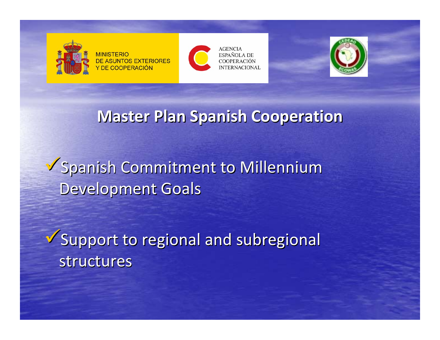

**MINISTERIO DE ASUNTOS EXTERIORES Y DE COOPERACIÓN** 





### **Master Plan Spanish Spanish Cooperation Cooperation**

**Spanish Commitment to Millennium** Development Goals

 $\checkmark$  Support to regional and subregional structures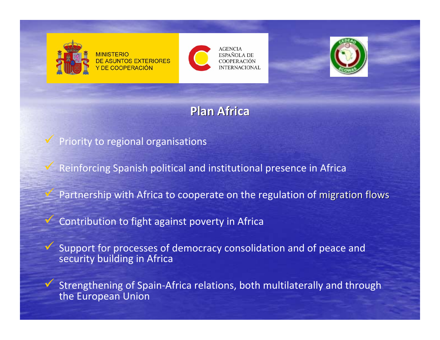

 $\sqrt{}$ 

 $\checkmark$ 

 $\checkmark$ 

**MINISTERIO DE ASUNTOS EXTERIORES** Y DE COOPERACIÓN



**AGENCIA** ESPAÑOLA DE COOPER ACIÓN **NTERNACIONAL** 



#### **Plan Africa**

Priority to regional organisations

Reinforcing Spanish political and institutional presence in Africa

Partnership with Africa to cooperate on the regulation of migration flows

 $\checkmark$ Contribution to fight against poverty in Africa

 Support for processes of democracy consolidation and of peace and security building in Africa

 Strengthening of Spain‐Africa relations, both multilaterally and through the European Union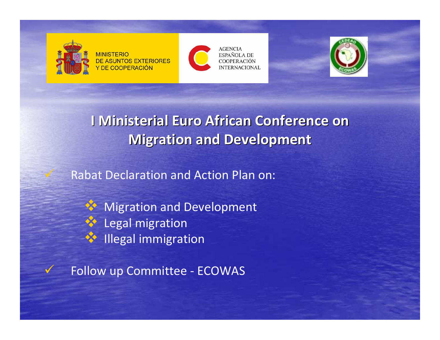

 $\checkmark$ 

 $\checkmark$ 

**MINISTERIO DE ASUNTOS EXTERIORES Y DE COOPERACIÓN** 



**AGENCIA** ESPAÑOLA DE **COOPERACIÓN INTERNACIONAL** 



**I Ministerial Ministerial Euro African African Conference Conference on Migration and Development** 

Rabat Declaration and Action Plan on:

X Migration and Development Legal migration **AND Illegal immigration** 

Follow up Committee ‐ ECOWAS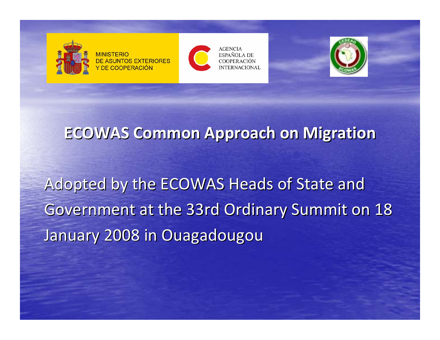

**MINISTERIC DE ASUNTOS EXTERIORES** Y DE COOPERACIÓN



**AGENCIA** ESPAÑOLA DE COOPER ACIÓN **INTERNACIONAL** 



#### **ECOWAS Common Approach Approach on Migration Migration**

Adopted by the ECOWAS Heads of State and Government at the 33rd Ordinary Summit on 18 January 2008 in Ouagadougou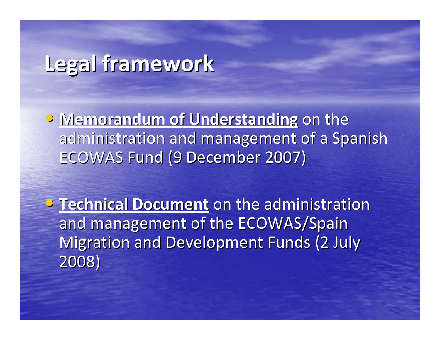# **Legal framework framework**

**• Memorandum of Understanding on the** administration and management of a Spanish ECOWAS Fund (9 December 2007)

**• Technical Document** on the administration and management of the ECOWAS/Spain Migration and Development Funds (2 July 2008)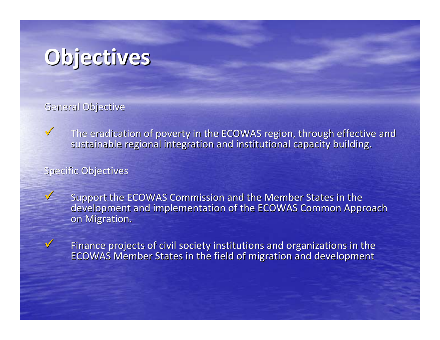

General Objective

 $\sqrt{}$  $\mathbf V$  The eradication of poverty in the ECOWAS region, through effective and sustainable regional integration and institutional capacity building.

Specific Objectives

Support the ECOWAS Commission and the Member States in the development and implementation of the ECOWAS Common Approach on Migration.

 $\sqrt{}$ 

 $\sqrt{}$ 

 $\checkmark$  Finance projects of civil society institutions and organizations in the ECOWAS Member States in the field of migration and development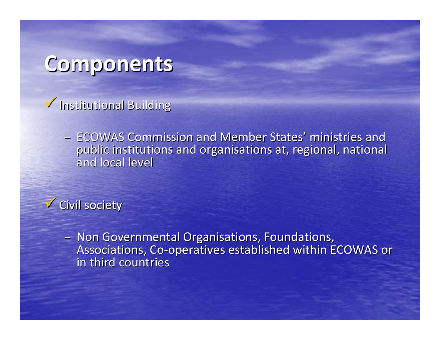## **Components Components**

- $\checkmark$  Institutional Building
	- ECOWAS Commission and Member States' ministries and public institutions and organisations at, regional, national and local level

 $\checkmark$  Civil society

– Non Governmental Organisations, Foundations, Associations, Co-operatives established within ECOWAS or in third countries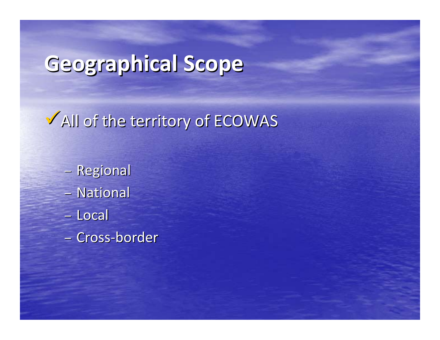# **Geographical Geographical Scope**

V All of the territory of ECOWAS

- –**- Regional** – National –Local
- –Cross ‐border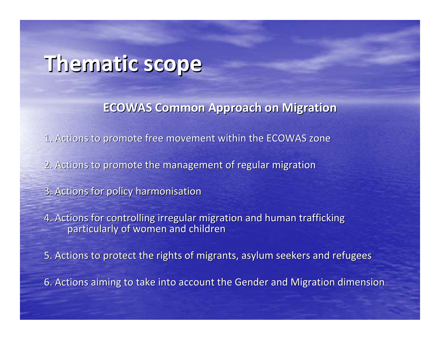# **Thematic Thematic scope**

**ECOWAS Common Approach Approach on Migration Migration**

 $\mathtt{1}.$  Actions to promote free movement within the ECOWAS zone

2. Actions to promote the management of regular migration

3. Actions for policy harmonisation

4. Actions for controlling irregular migration and human trafficking particularly of women and children

5. Actions to protect the rights of migrants, asylum seekers and refugees

6. Actions aiming to take into account the Gender and Migration dimension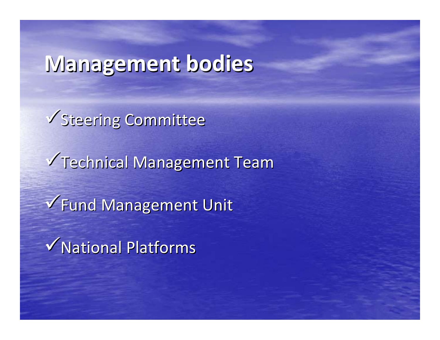# **Management Management bodies**

V Steering Committee V Technical Management Team √Fund Management Unit  $\sqrt{}$ National Platforms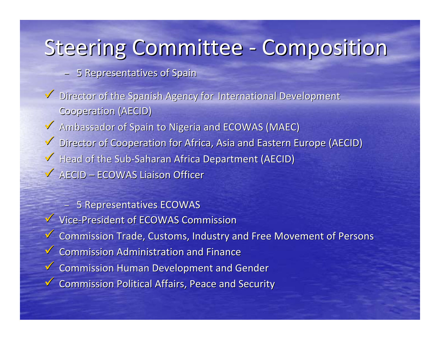# Steering Committee - Composition

- 5 Representatives of Spain
- Director of the Spanish Agency for International Development **Cooperation (AECID)**
- Ambassador of Spain to Nigeria and ECOWAS (MAEC)
- Director of Cooperation for Africa, Asia and Eastern Europe (AECID) ◆ Head of the Sub-Saharan Africa Department (AECID)  $\checkmark$  AECID – ECOWAS Liaison Officer

– 5 Representatives ECOWAS ▼ Vice-President of ECOWAS Commission Gommission Trade, Customs, Industry and Free Movement of Persons  $\checkmark$  Commission Administration and Finance  $\checkmark$  Commission Human Development and Gender  $\checkmark$  Commission Political Affairs, Peace and Security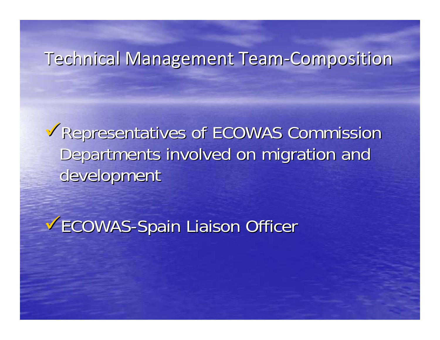### Technical Management Team-Composition

<sup>9</sup>Representatives of ECOWAS Commission Representatives of ECOWAS Commission Departments involved on migration and development

**VECOWAS-Spain Liaison Officer**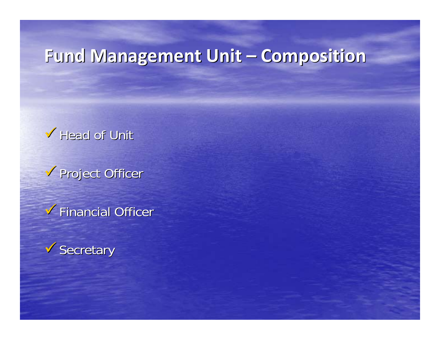### **Fund Management Unit – Composition**

#### $\checkmark$  Head of Unit

 $\checkmark$  Project Officer

 $\checkmark$  Financial Officer

 $\checkmark$  Secretary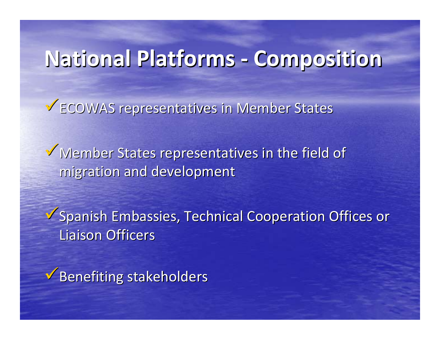# **National National Platforms Platforms‐ Composition Composition**

 $\checkmark$  ECOWAS representatives in Member States

 $\checkmark$  Member States representatives in the field of migration and development

Spanish Embassies, Technical Cooperation Offices or **Liaison Officers** 

 $\sqrt{\frac{1}{10}}$ Benefiting stakeholders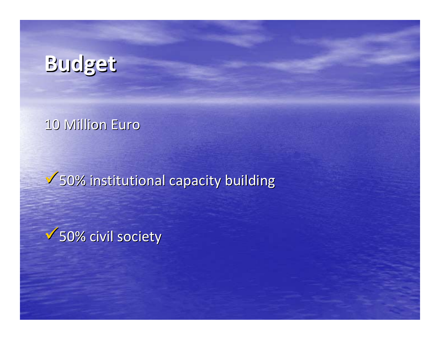# **Budget**

#### 10 Million Euro

 $\sqrt{50\%}$  institutional capacity building

 $\sqrt{50\%}$  civil society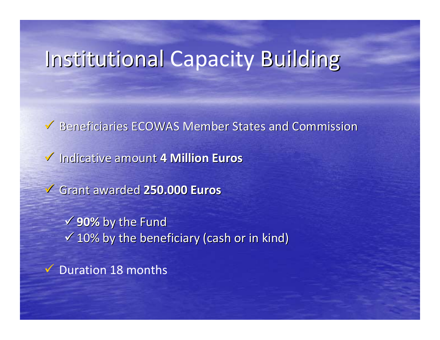# Institutional Capacity Building

Beneficiaries ECOWAS Member States and Commission  $\checkmark$  Indicative amount 4 Million Euros 9 Grant awarded awarded **250.000 250.000 Euros** 9**90%** by the Fund  $\checkmark$  10% by the beneficiary (cash or in kind)  $\checkmark$  Duration 18 months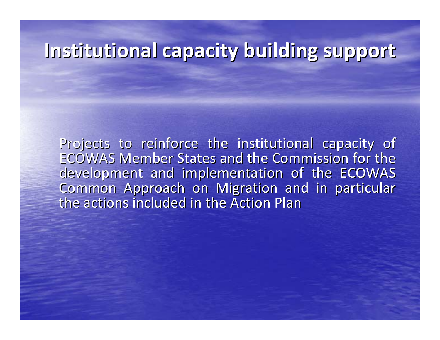### **Institutional Institutional capacity capacity building building support support**

Projects to reinforce the institutional capacity of ECOWAS Member States and the Commission for the development and implementation of the ECOWAS Common Approach on Migration and in particular the actions included in the Action Plan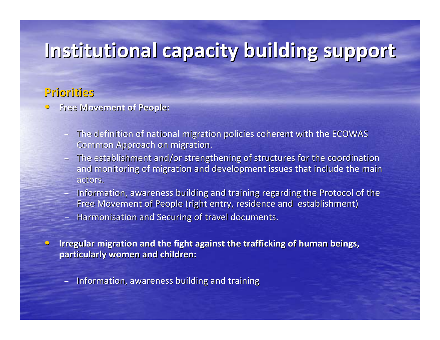## **Institutional Institutional capacity capacity building building support support**

#### **Priorities Priorities**

- $\hspace{.1cm}\cap\hspace{.1cm}$ **P** Free Movement of People:
	- $-$  The definition of national migration policies coherent with the ECOWAS Common Approach on migration.
	- $-$  The establishment and/or strengthening of structures for the coordination and monitoring of migration and development issues that include the main actors.
	- Information, awareness building and training regarding the Protocol of the Free Movement of People (right entry, residence and establishment)
	- $-$  Harmonisation and Securing of travel documents.
- $\color{red}\bullet$ Irregular migration and the fight against the trafficking of human beings, **particularly particularly women and children: children:**
	- Information, awareness building and training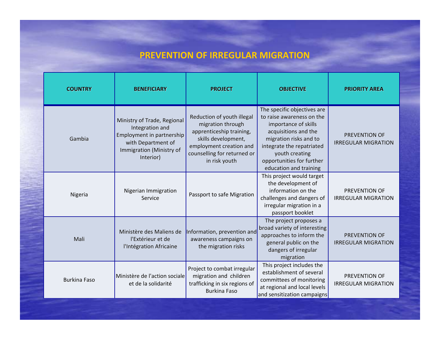#### **PREVENTION OF IRREGULAR MIGRATION**

| <b>COUNTRY</b>      | <b>BENEFICIARY</b>                                                                                                                         | <b>PROJECT</b>                                                                                                                                                                | <b>OBJECTIVE</b>                                                                                                                                                                                                                         | <b>PRIORITY AREA</b>                        |
|---------------------|--------------------------------------------------------------------------------------------------------------------------------------------|-------------------------------------------------------------------------------------------------------------------------------------------------------------------------------|------------------------------------------------------------------------------------------------------------------------------------------------------------------------------------------------------------------------------------------|---------------------------------------------|
| Gambia              | Ministry of Trade, Regional<br>Integration and<br>Employment in partnership<br>with Department of<br>Immigration (Ministry of<br>Interior) | Reduction of youth illegal<br>migration through<br>apprenticeship training,<br>skills development,<br>employment creation and<br>counselling for returned or<br>in risk youth | The specific objectives are<br>to raise awareness on the<br>importance of skills<br>acquisitions and the<br>migration risks and to<br>integrate the repatriated<br>youth creating<br>opportunities for further<br>education and training | PREVENTION OF<br><b>IRREGULAR MIGRATION</b> |
| Nigeria             | Nigerian Immigration<br>Service                                                                                                            | Passport to safe Migration                                                                                                                                                    | This project would target<br>the development of<br>information on the<br>challenges and dangers of<br>irregular migration in a<br>passport booklet                                                                                       | PREVENTION OF<br><b>IRREGULAR MIGRATION</b> |
| Mali                | Ministère des Maliens de<br>l'Extérieur et de<br>l'Intégration Africaine                                                                   | Information, prevention and<br>awareness campaigns on<br>the migration risks                                                                                                  | The project proposes a<br>broad variety of interesting<br>approaches to inform the<br>general public on the<br>dangers of irregular<br>migration                                                                                         | PREVENTION OF<br><b>IRREGULAR MIGRATION</b> |
| <b>Burkina Faso</b> | Ministère de l'action sociale<br>et de la solidarité                                                                                       | Project to combat irregular<br>migration and children<br>trafficking in six regions of<br><b>Burkina Faso</b>                                                                 | This project includes the<br>establishment of several<br>committees of monitoring<br>at regional and local levels<br>and sensitization campaigns                                                                                         | PREVENTION OF<br><b>IRREGULAR MIGRATION</b> |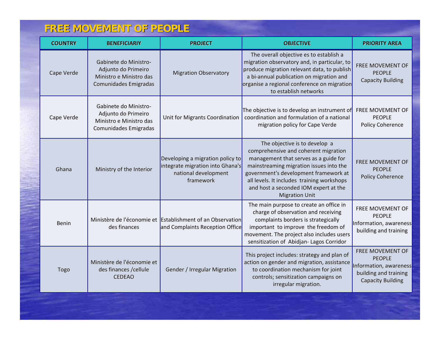#### **FREE MOVEMENT OF PEOPLE FREE MOVEMENT OF PEOPLE**

| <b>COUNTRY</b> | <b>BENEFICIARIY</b>                                                                              | <b>PROJECT</b>                                                                                            | <b>OBJECTIVE</b>                                                                                                                                                                                                                                                                                                   | <b>PRIORITY AREA</b>                                                                                             |
|----------------|--------------------------------------------------------------------------------------------------|-----------------------------------------------------------------------------------------------------------|--------------------------------------------------------------------------------------------------------------------------------------------------------------------------------------------------------------------------------------------------------------------------------------------------------------------|------------------------------------------------------------------------------------------------------------------|
| Cape Verde     | Gabinete do Ministro-<br>Adjunto do Primeiro<br>Ministro e Ministro das<br>Comunidades Emigradas | <b>Migration Observatory</b>                                                                              | The overall objective es to establish a<br>migration observatory and, in particular, to<br>produce migration relevant data, to publish<br>a bi-annual publication on migration and<br>organise a regional conference on migration<br>to establish networks                                                         | FREE MOVEMENT OF<br><b>PEOPLE</b><br><b>Capacity Building</b>                                                    |
| Cape Verde     | Gabinete do Ministro-<br>Adjunto do Primeiro<br>Ministro e Ministro das<br>Comunidades Emigradas | Unit for Migrants Coordination                                                                            | The objective is to develop an instrument of<br>coordination and formulation of a national<br>migration policy for Cape Verde                                                                                                                                                                                      | <b>FREE MOVEMENT OF</b><br><b>PEOPLE</b><br>Policy Coherence                                                     |
| Ghana          | Ministry of the Interior                                                                         | Developing a migration policy to<br>integrate migration into Ghana's<br>national development<br>framework | The objective is to develop a<br>comprehensive and coherent migration<br>management that serves as a guide for<br>mainstreaming migration issues into the<br>government's development framework at<br>all levels. It includes training workshops<br>and host a seconded IOM expert at the<br><b>Migration Unit</b> | FREE MOVEMENT OF<br><b>PEOPLE</b><br><b>Policy Coherence</b>                                                     |
| <b>Benin</b>   | des finances                                                                                     | Ministère de l'économie et Establishment of an Observation<br>and Complaints Reception Office             | The main purpose to create an office in<br>charge of observation and receiving<br>complaints borders is strategically<br>important to improve the freedom of<br>movement. The project also includes users<br>sensitization of Abidjan-Lagos Corridor                                                               | FREE MOVEMENT OF<br><b>PEOPLE</b><br>Information, awareness<br>building and training                             |
| Togo           | Ministère de l'économie et<br>des finances / cellule<br><b>CEDEAO</b>                            | Gender / Irregular Migration                                                                              | This project includes: strategy and plan of<br>action on gender and migration, assistance<br>to coordination mechanism for joint<br>controls; sensitization campaigns on<br>irregular migration.                                                                                                                   | FREE MOVEMENT OF<br><b>PEOPLE</b><br>Information, awareness<br>building and training<br><b>Capacity Building</b> |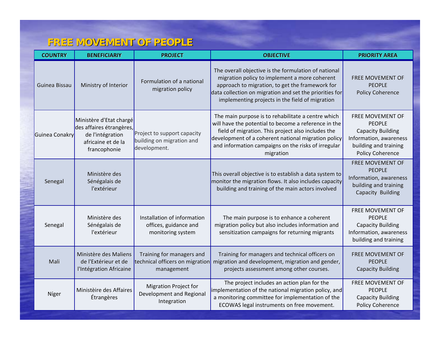#### **FREE MOVEMENT OF PEOPLE FREE MOVEMENT OF PEOPLE**

| <b>COUNTRY</b> | <b>BENEFICIARIY</b>                                                                                           | <b>PROJECT</b>                                                             | <b>OBJECTIVE</b>                                                                                                                                                                                                                                                                            | <b>PRIORITY AREA</b>                                                                                                                 |
|----------------|---------------------------------------------------------------------------------------------------------------|----------------------------------------------------------------------------|---------------------------------------------------------------------------------------------------------------------------------------------------------------------------------------------------------------------------------------------------------------------------------------------|--------------------------------------------------------------------------------------------------------------------------------------|
| Guinea Bissau  | Ministry of Interior                                                                                          | Formulation of a national<br>migration policy                              | The overall objective is the formulation of national<br>migration policy to implement a more coherent<br>approach to migration, to get the framework for<br>data collection on migration and set the priorities for<br>implementing projects in the field of migration                      | FREE MOVEMENT OF<br><b>PEOPLE</b><br>Policy Coherence                                                                                |
| Guinea Conakry | Ministère d'Etat chargé<br>des affaires étrangères,<br>de l'intégration<br>africaine et de la<br>francophonie | Project to support capacity<br>building on migration and<br>development.   | The main purpose is to rehabilitate a centre which<br>will have the potential to become a reference in the<br>field of migration. This project also includes the<br>development of a coherent national migration policy<br>and information campaigns on the risks of irregular<br>migration | FREE MOVEMENT OF<br><b>PEOPLE</b><br><b>Capacity Building</b><br>Information, awareness<br>building and training<br>Policy Coherence |
| Senegal        | Ministère des<br>Sénégalais de<br>l'extérieur                                                                 |                                                                            | This overall objective is to establish a data system to<br>monitor the migration flows. It also includes capacity<br>building and training of the main actors involved                                                                                                                      | FREE MOVEMENT OF<br><b>PEOPLE</b><br>Information, awareness<br>building and training<br>Capacity Building                            |
| Senegal        | Ministère des<br>Sénégalais de<br>l'extérieur                                                                 | Installation of information<br>offices, guidance and<br>monitoring system  | The main purpose is to enhance a coherent<br>migration policy but also includes information and<br>sensitization campaigns for returning migrants                                                                                                                                           | FREE MOVEMENT OF<br><b>PEOPLE</b><br><b>Capacity Building</b><br>Information, awareness<br>building and training                     |
| Mali           | Ministère des Maliens<br>de l'Extérieur et de<br>l'Intégration Africaine                                      | Training for managers and<br>technical officers on migration<br>management | Training for managers and technical officers on<br>migration and development, migration and gender,<br>projects assessment among other courses.                                                                                                                                             | FREE MOVEMENT OF<br><b>PEOPLE</b><br><b>Capacity Building</b>                                                                        |
| Níger          | Ministèire des Affaires<br>Étrangères                                                                         | <b>Migration Project for</b><br>Development and Regional<br>Integration    | The project includes an action plan for the<br>implementation of the national migration policy, and<br>a monitoring committee for implementation of the<br>ECOWAS legal instruments on free movement.                                                                                       | FREE MOVEMENT OF<br><b>PEOPLE</b><br><b>Capacity Building</b><br>Policy Coherence                                                    |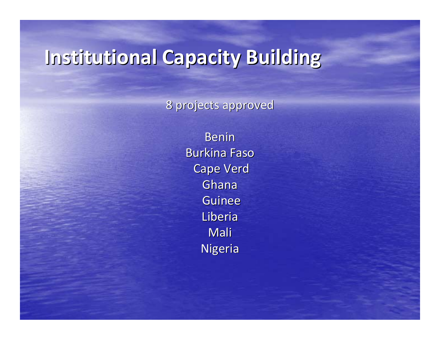## **Institutional Capacity Building**

8 projects approved

Benin Burkina Faso Cape Verd Ghana Guinee Liberia Mali Nigeria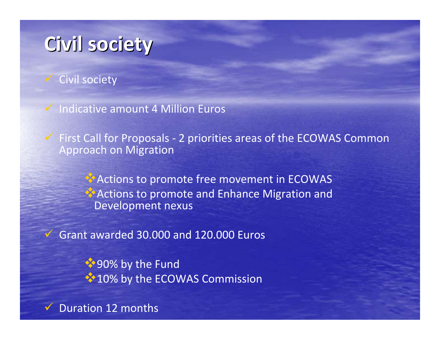### **Civil society society**

Civil society

Indicative amount 4 Million Euros

 $\checkmark$  First Call for Proposals - 2 priorities areas of the ECOWAS Common Approach on Migration

> **Actions to promote free movement in ECOWAS Actions to promote and Enhance Migration and** Development nexus

 $\checkmark$  Grant awarded 30.000 and 120.000 Euros

◆90% by the Fund  $\cdot$  10% by the ECOWAS Commission

 $\checkmark$ Duration 12 months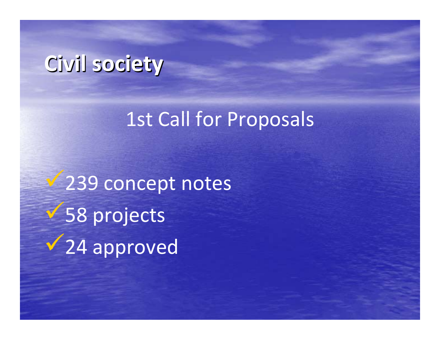# **Civil society society**

### 1st Call for Proposals

 $\sqrt{239}$  concept notes  $\sqrt{58}$  projects  $\sqrt{24}$  approved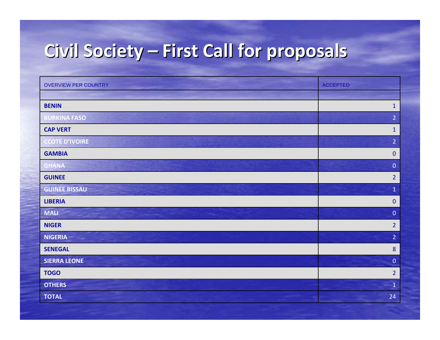## **Civil Society – First Call for proposals**

| <b>OVERVIEW PER COUNTRY</b> | <b>ACCEPTED</b>  |
|-----------------------------|------------------|
|                             |                  |
| <b>BENIN</b>                | $1\,$            |
| <b>BURKINA FASO</b>         | $\overline{2}$   |
| <b>CAP VERT</b>             | $1\,$            |
| <b>CCOTE D'IVOIRE</b>       | $\overline{2}$   |
| <b>GAMBIA</b>               | $\pmb{0}$        |
| <b>GHANA</b>                | $\pmb{0}$        |
| <b>GUINEE</b>               | $\overline{2}$   |
| <b>GUINEE BISSAU</b>        | $\mathbf{1}$     |
| <b>LIBERIA</b>              | $\pmb{0}$        |
| <b>MALI</b>                 | $\pmb{0}$        |
| <b>NIGER</b>                | $\overline{2}$   |
| <b>NIGERIA</b><br>≂         | $\overline{2}$   |
| <b>SENEGAL</b>              | $\boldsymbol{8}$ |
| <b>SIERRA LEONE</b>         | $\pmb{0}$        |
| <b>TOGO</b>                 | $\overline{2}$   |
| <b>OTHERS</b>               | $\,1\,$          |
| <b>TOTAL</b>                | 24               |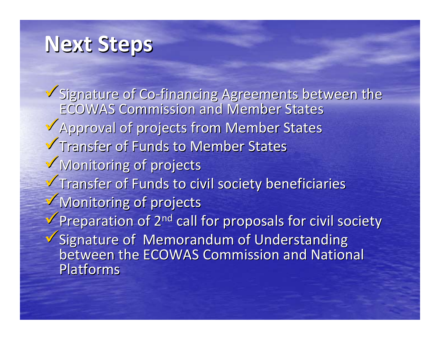# **Next Steps**

V Signature of Co-financing Agreements between the ECOWAS Commission and Member States  $\sqrt{\lambda}$  Approval of projects from Member States **V** Transfer of Funds to Member States  $\sqrt{}$  Monitoring of projects  $\checkmark$  Transfer of Funds to civil society beneficiaries  $\sqrt{\frac{1}{2}}$  Monitoring of projects  $\checkmark$  Preparation of 2<sup>nd</sup> call for proposals for civil society  $\checkmark$  Signature of Memorandum of Understanding between the ECOWAS Commission and National Platforms